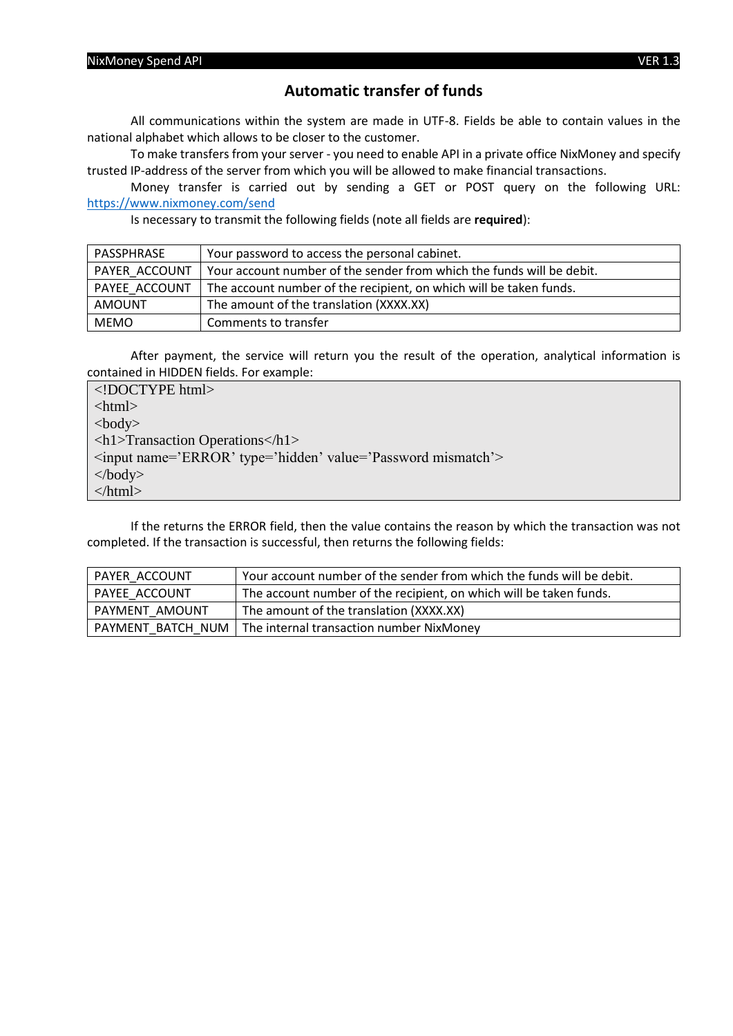### **Automatic transfer of funds**

All communications within the system are made in UTF-8. Fields be able to contain values in the national alphabet which allows to be closer to the customer.

To make transfers from your server - you need to enable API in a private office NixMoney and specify trusted IP-address of the server from which you will be allowed to make financial transactions.

Money transfer is carried out by sending a GET or POST query on the following URL: <https://www.nixmoney.com/send>

Is necessary to transmit the following fields (note all fields are **required**):

| PASSPHRASE    | Your password to access the personal cabinet.                         |
|---------------|-----------------------------------------------------------------------|
| PAYER ACCOUNT | Your account number of the sender from which the funds will be debit. |
| PAYEE ACCOUNT | The account number of the recipient, on which will be taken funds.    |
| AMOUNT        | The amount of the translation (XXXX.XX)                               |
| <b>MEMO</b>   | Comments to transfer                                                  |

After payment, the service will return you the result of the operation, analytical information is contained in HIDDEN fields. For example:

<!DOCTYPE html> <html> <body> <h1>Transaction Operations</h1> <input name='ERROR' type='hidden' value='Password mismatch'> </body> </html>

If the returns the ERROR field, then the value contains the reason by which the transaction was not completed. If the transaction is successful, then returns the following fields:

| PAYER ACCOUNT         | Your account number of the sender from which the funds will be debit. |
|-----------------------|-----------------------------------------------------------------------|
| <b>PAYEE ACCOUNT</b>  | The account number of the recipient, on which will be taken funds.    |
| <b>PAYMENT AMOUNT</b> | The amount of the translation (XXXX.XX)                               |
|                       | PAYMENT BATCH_NUM   The internal transaction number NixMoney          |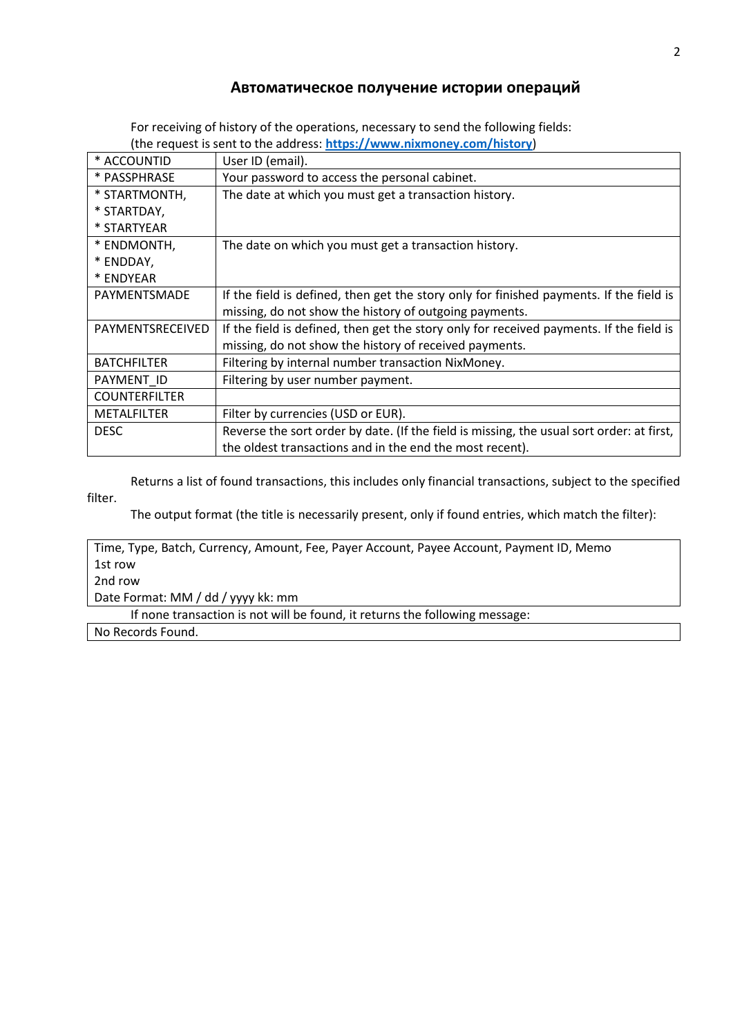#### **Автоматическое получение истории операций**

For receiving of history of the operations, necessary to send the following fields: (the request is sent to the address: **<https://www.nixmoney.com/history>**)

| * ACCOUNTID          | User ID (email).                                                                          |
|----------------------|-------------------------------------------------------------------------------------------|
| * PASSPHRASE         | Your password to access the personal cabinet.                                             |
| * STARTMONTH,        | The date at which you must get a transaction history.                                     |
| * STARTDAY,          |                                                                                           |
| * STARTYEAR          |                                                                                           |
| * ENDMONTH,          | The date on which you must get a transaction history.                                     |
| * ENDDAY,            |                                                                                           |
| * ENDYEAR            |                                                                                           |
| PAYMENTSMADE         | If the field is defined, then get the story only for finished payments. If the field is   |
|                      | missing, do not show the history of outgoing payments.                                    |
| PAYMENTSRECEIVED     | If the field is defined, then get the story only for received payments. If the field is   |
|                      | missing, do not show the history of received payments.                                    |
| <b>BATCHFILTER</b>   | Filtering by internal number transaction NixMoney.                                        |
| PAYMENT ID           | Filtering by user number payment.                                                         |
| <b>COUNTERFILTER</b> |                                                                                           |
| <b>METALFILTER</b>   | Filter by currencies (USD or EUR).                                                        |
| <b>DESC</b>          | Reverse the sort order by date. (If the field is missing, the usual sort order: at first, |
|                      | the oldest transactions and in the end the most recent).                                  |

Returns a list of found transactions, this includes only financial transactions, subject to the specified filter.

The output format (the title is necessarily present, only if found entries, which match the filter):

Time, Type, Batch, Currency, Amount, Fee, Payer Account, Payee Account, Payment ID, Memo 1st row 2nd row Date Format: MM / dd / yyyy kk: mm

If none transaction is not will be found, it returns the following message:

No Records Found.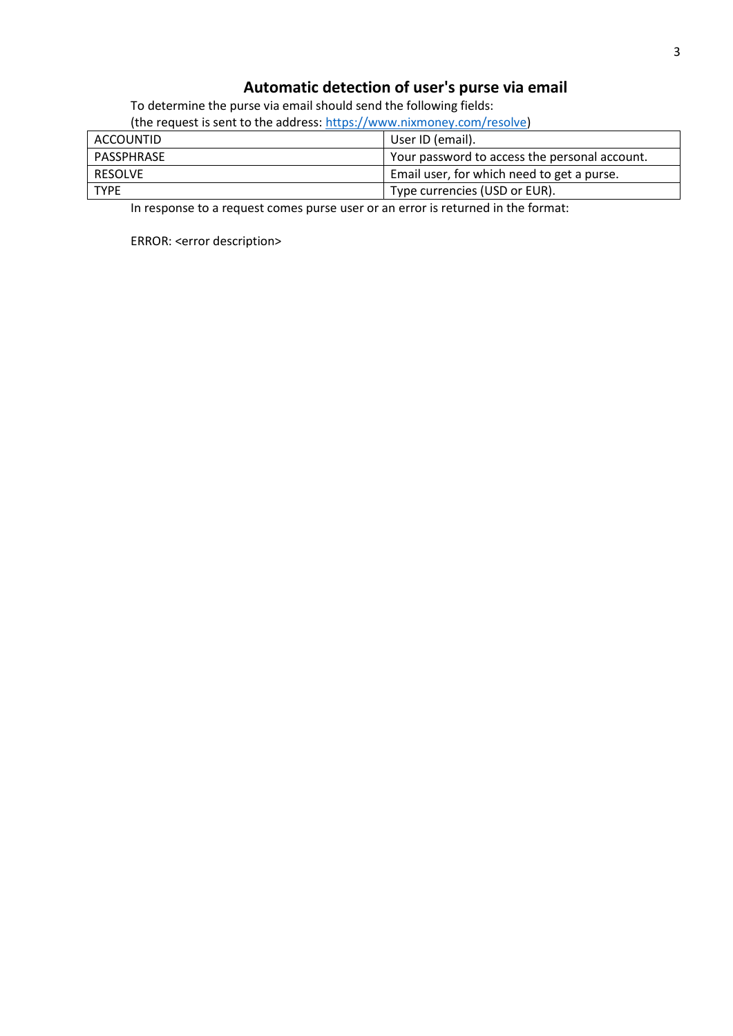## **Automatic detection of user's purse via email**

To determine the purse via email should send the following fields:

| (the request is sent to the address: https://www.nixmoney.com/resolve) |                                               |  |
|------------------------------------------------------------------------|-----------------------------------------------|--|
| ACCOUNTID                                                              | User ID (email).                              |  |
| PASSPHRASE                                                             | Your password to access the personal account. |  |
| RESOLVE                                                                | Email user, for which need to get a purse.    |  |
| <b>TYPE</b>                                                            | Type currencies (USD or EUR).                 |  |

In response to a request comes purse user or an error is returned in the format:

ERROR: <error description>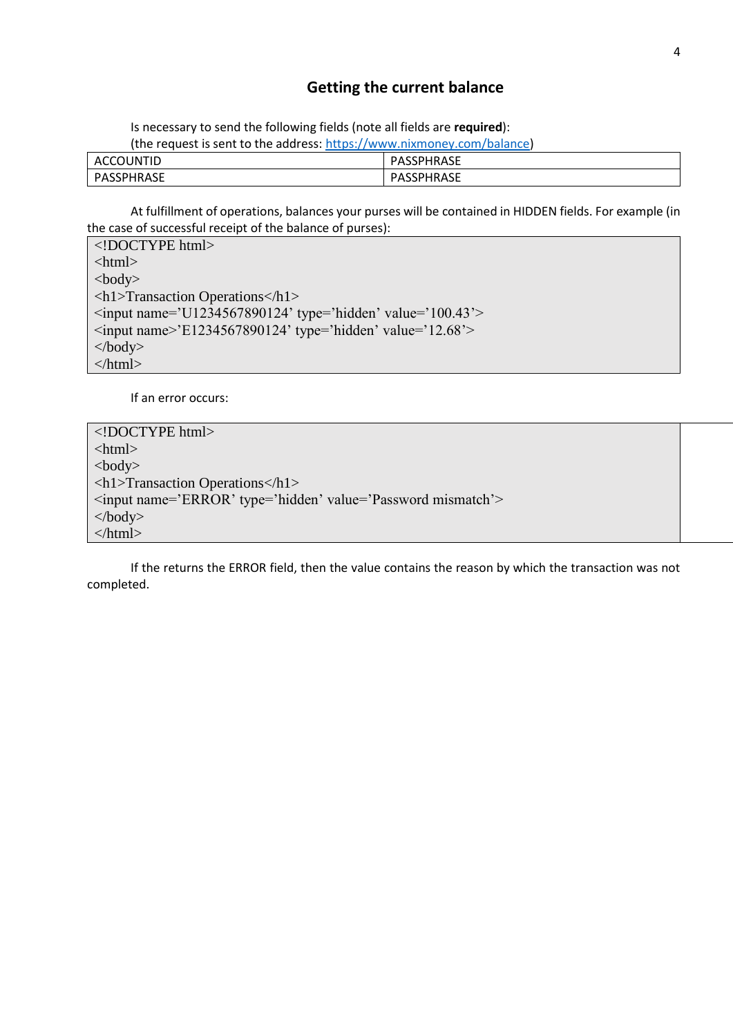#### **Getting the current balance**

Is necessary to send the following fields (note all fields are **required**):

| (the request is sent to the address: https://www.nixmoney.com/balance) |            |  |  |  |
|------------------------------------------------------------------------|------------|--|--|--|
| ACCOUNTID                                                              | PASSPHRASE |  |  |  |
| PASSPHRASE                                                             | PASSPHRASE |  |  |  |

At fulfillment of operations, balances your purses will be contained in HIDDEN fields. For example (in the case of successful receipt of the balance of purses):

<!DOCTYPE html> <html> <body> <h1>Transaction Operations</h1>  $\langle$ input name='U1234567890124' type='hidden' value='100.43'>  $\langle$ input name>'E1234567890124' type='hidden' value='12.68'> </body> </html>

If an error occurs:

<!DOCTYPE html>  $\langle$ html $>$  $$ <h1>Transaction Operations</h1> <input name='ERROR' type='hidden' value='Password mismatch'> </body> </html>

If the returns the ERROR field, then the value contains the reason by which the transaction was not completed.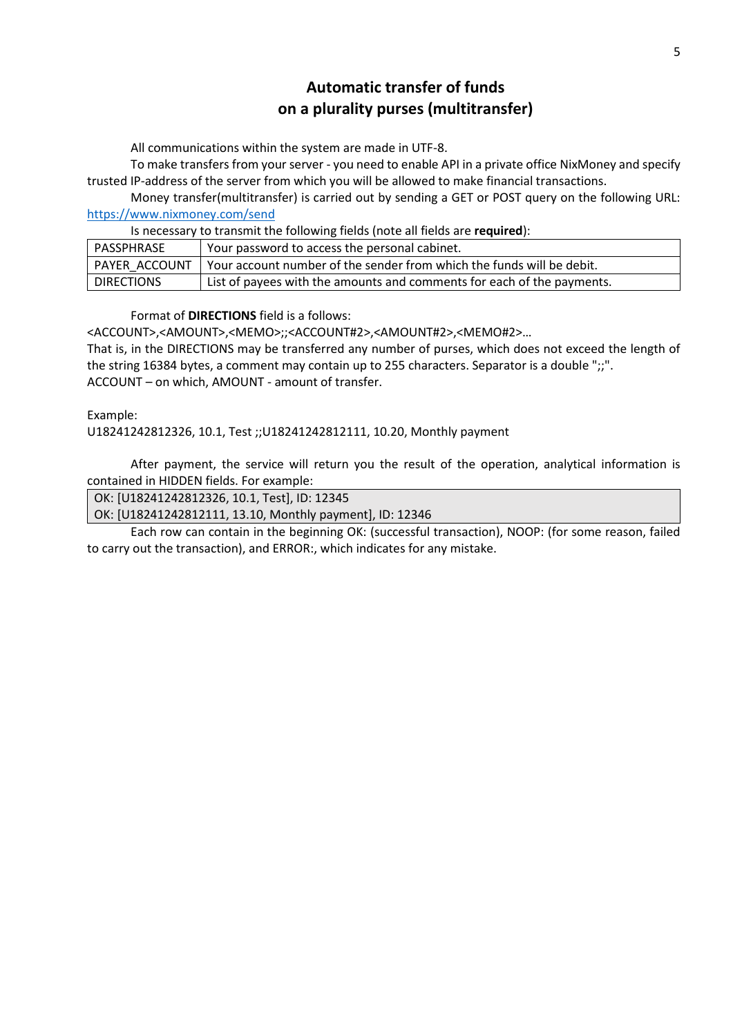# **Automatic transfer of funds on a plurality purses (multitransfer)**

All communications within the system are made in UTF-8.

To make transfers from your server - you need to enable API in a private office NixMoney and specify trusted IP-address of the server from which you will be allowed to make financial transactions.

Money transfer(multitransfer) is carried out by sending a GET or POST query on the following URL: <https://www.nixmoney.com/send>

Is necessary to transmit the following fields (note all fields are **required**):

| PASSPHRASE        | Your password to access the personal cabinet.                          |
|-------------------|------------------------------------------------------------------------|
| I PAYER ACCOUNT   | Your account number of the sender from which the funds will be debit.  |
| <b>DIRECTIONS</b> | List of payees with the amounts and comments for each of the payments. |

Format of **DIRECTIONS** field is a follows:

<ACCOUNT>,<AMOUNT>,<MEMO>;;<ACCOUNT#2>,<AMOUNT#2>,<MEMO#2>… That is, in the DIRECTIONS may be transferred any number of purses, which does not exceed the length of the string 16384 bytes, a comment may contain up to 255 characters. Separator is a double ";;". ACCOUNT – on which, AMOUNT - amount of transfer.

Example:

U18241242812326, 10.1, Test ;;U18241242812111, 10.20, Monthly payment

After payment, the service will return you the result of the operation, analytical information is contained in HIDDEN fields. For example:

OK: [U18241242812326, 10.1, Test], ID: 12345

OK: [U18241242812111, 13.10, Monthly payment], ID: 12346

Each row can contain in the beginning OK: (successful transaction), NOOP: (for some reason, failed to carry out the transaction), and ERROR:, which indicates for any mistake.